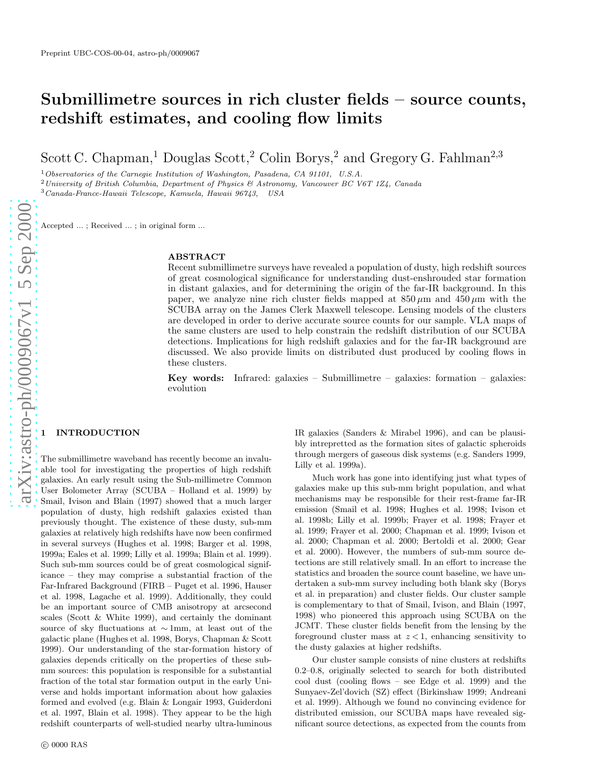# Submillimetre sources in rich cluster fields – source counts , redshift estimates, and cooling flow limits

Scott C. Chapman,<sup>1</sup> Douglas Scott,<sup>2</sup> Colin Borys,<sup>2</sup> and Gregory G. Fahlman<sup>2,3</sup>

<sup>1</sup> Observatories of the Carnegie Institution of Washington, Pasadena, CA 91101, U.S.A.

<sup>2</sup> University of British Columbia, Department of Physics  $\mathcal{B}$  Astronomy, Vancouver BC V6T 1Z4, Canada

<sup>3</sup>Canada-France-Hawaii Telescope, Kamuela, Hawaii 96743, USA

Accepted ... ; Received ... ; in original form ...

#### ABSTRACT

Recent submillimetre surveys have revealed a population of dusty, high redshift sources of great cosmological significance for understanding dust-enshrouded star formation in distant galaxies, and for determining the origin of the far-IR background. In this paper, we analyze nine rich cluster fields mapped at  $850 \,\mu$ m and  $450 \,\mu$ m with the SCUBA array on the James Clerk Maxwell telescope. Lensing models of the clusters are developed in order to derive accurate source counts for our sample. VLA maps of the same clusters are used to help constrain the redshift distribution of our SCUBA detections. Implications for high redshift galaxies and for the far-IR background are discussed. We also provide limits on distributed dust produced by cooling flows in these clusters.

Key words: Infrared: galaxies – Submillimetre – galaxies: formation – galaxies: evolution

## **INTRODUCTION**

The submillimetre waveband has recently become an invaluable tool for investigating the properties of high redshift galaxies. An early result using the Sub-millimetre Common User Bolometer Array (SCUBA – Holland et al. 1999) by Smail, Ivison and Blain (1997) showed that a much larger population of dusty, high redshift galaxies existed than previously thought. The existence of these dusty, sub-mm galaxies at relatively high redshifts have now been confirme d in several surveys (Hughes et al. 1998; Barger et al. 1998, 1999a; Eales et al. 1999; Lilly et al. 1999a; Blain et al. 1999). Such sub-mm sources could be of great cosmological significance – they may comprise a substantial fraction of the Far-Infrared Background (FIRB – Puget et al. 1996, Hauser et al. 1998, Lagache et al. 1999). Additionally, they could be an important source of CMB anisotropy at arcsecond scales (Scott & White 1999), and certainly the dominant source of sky fluctuations at ∼ 1mm, at least out of the galactic plane (Hughes et al. 1998, Borys, Chapman & Scott 1999). Our understanding of the star-formation history of galaxies depends critically on the properties of these submm sources: this population is responsible for a substantial fraction of the total star formation output in the early Universe and holds important information about how galaxies formed and evolved (e.g. Blain & Longair 1993, Guiderdoni et al. 1997, Blain et al. 1998). They appear to be the high redshift counterparts of well-studied nearby ultra-luminous IR galaxies (Sanders & Mirabel 1996), and can be plausibly intrepretted as the formation sites of galactic spheroids through mergers of gaseous disk systems (e.g. Sanders 1999, Lilly et al. 1999a).

Much work has gone into identifying just what types of galaxies make up this sub-mm bright population, and what mechanisms may be responsible for their rest-frame far-IR emission (Smail et al. 1998; Hughes et al. 1998; Ivison et al. 1998b; Lilly et al. 1999b; Frayer et al. 1998; Frayer et al. 1999; Frayer et al. 2000; Chapman et al. 1999; Ivison et al. 2000; Chapman et al. 2000; Bertoldi et al. 2000; Gear et al. 2000). However, the numbers of sub-mm source detections are still relatively small. In an effort to increase the statistics and broaden the source count baseline, we have undertaken a sub-mm survey including both blank sky (Borys et al. in preparation) and cluster fields. Our cluster sample is complementary to that of Smail, Ivison, and Blain (1997, 1998) who pioneered this approach using SCUBA on the JCMT. These cluster fields benefit from the lensing by the foreground cluster mass at  $z < 1$ , enhancing sensitivity to the dusty galaxies at higher redshifts.

Our cluster sample consists of nine clusters at redshifts 0.2–0.8, originally selected to search for both distribute d cool dust (cooling flows – see Edge et al. 1999) and the Sunyaev-Zel'dovich (SZ) effect (Birkinshaw 1999; Andreani et al. 1999). Although we found no convincing evidence for distributed emission, our SCUBA maps have revealed significant source detections, as expected from the counts from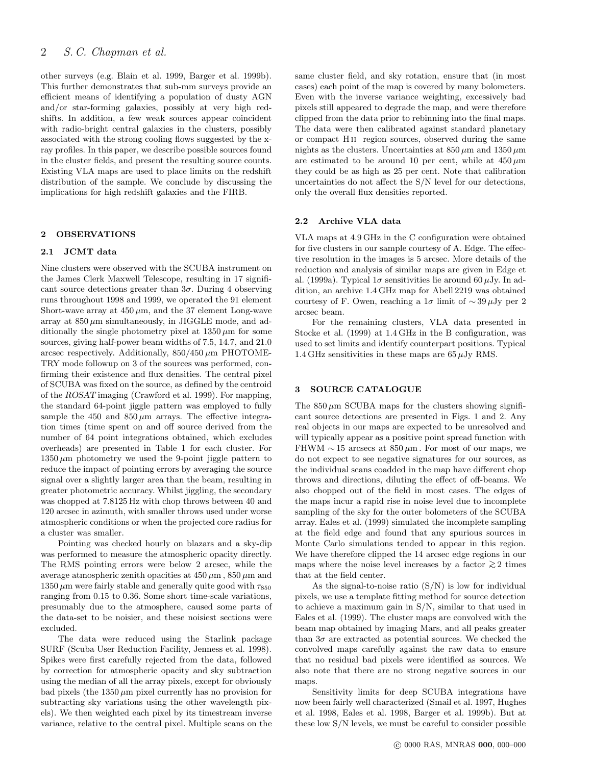# 2 S. C. Chapman et al.

other surveys (e.g. Blain et al. 1999, Barger et al. 1999b). This further demonstrates that sub-mm surveys provide an efficient means of identifying a population of dusty AGN and/or star-forming galaxies, possibly at very high redshifts. In addition, a few weak sources appear coincident with radio-bright central galaxies in the clusters, possibly associated with the strong cooling flows suggested by the xray profiles. In this paper, we describe possible sources found in the cluster fields, and present the resulting source counts. Existing VLA maps are used to place limits on the redshift distribution of the sample. We conclude by discussing the implications for high redshift galaxies and the FIRB.

## 2 OBSERVATIONS

#### 2.1 JCMT data

Nine clusters were observed with the SCUBA instrument on the James Clerk Maxwell Telescope, resulting in 17 significant source detections greater than  $3\sigma$ . During 4 observing runs throughout 1998 and 1999, we operated the 91 element Short-wave array at  $450 \,\mu m$ , and the 37 element Long-wave array at  $850 \mu m$  simultaneously, in JIGGLE mode, and additionally the single photometry pixel at  $1350 \,\mu \text{m}$  for some sources, giving half-power beam widths of 7.5, 14.7, and 21.0 arcsec respectively. Additionally,  $850/450 \mu m$  PHOTOME-TRY mode followup on 3 of the sources was performed, confirming their existence and flux densities. The central pixel of SCUBA was fixed on the source, as defined by the centroid of the ROSAT imaging (Crawford et al. 1999). For mapping, the standard 64-point jiggle pattern was employed to fully sample the 450 and  $850 \,\mu m$  arrays. The effective integration times (time spent on and off source derived from the number of 64 point integrations obtained, which excludes overheads) are presented in Table 1 for each cluster. For  $1350 \,\mu m$  photometry we used the 9-point jiggle pattern to reduce the impact of pointing errors by averaging the source signal over a slightly larger area than the beam, resulting in greater photometric accuracy. Whilst jiggling, the secondary was chopped at 7.8125 Hz with chop throws between 40 and 120 arcsec in azimuth, with smaller throws used under worse atmospheric conditions or when the projected core radius for a cluster was smaller.

Pointing was checked hourly on blazars and a sky-dip was performed to measure the atmospheric opacity directly. The RMS pointing errors were below 2 arcsec, while the average atmospheric zenith opacities at  $450 \,\mu \mathrm{m}$ ,  $850 \,\mu \mathrm{m}$  and  $1350 \,\mu m$  were fairly stable and generally quite good with  $\tau_{850}$ ranging from 0.15 to 0.36. Some short time-scale variations, presumably due to the atmosphere, caused some parts of the data-set to be noisier, and these noisiest sections were excluded.

The data were reduced using the Starlink package SURF (Scuba User Reduction Facility, Jenness et al. 1998). Spikes were first carefully rejected from the data, followed by correction for atmospheric opacity and sky subtraction using the median of all the array pixels, except for obviously bad pixels (the  $1350 \mu m$  pixel currently has no provision for subtracting sky variations using the other wavelength pixels). We then weighted each pixel by its timestream inverse variance, relative to the central pixel. Multiple scans on the same cluster field, and sky rotation, ensure that (in most cases) each point of the map is covered by many bolometers. Even with the inverse variance weighting, excessively bad pixels still appeared to degrade the map, and were therefore clipped from the data prior to rebinning into the final maps. The data were then calibrated against standard planetary or compact H ii region sources, observed during the same nights as the clusters. Uncertainties at  $850 \,\mu \mathrm{m}$  and  $1350 \,\mu \mathrm{m}$ are estimated to be around 10 per cent, while at  $450 \,\mu m$ they could be as high as 25 per cent. Note that calibration uncertainties do not affect the S/N level for our detections, only the overall flux densities reported.

# 2.2 Archive VLA data

VLA maps at 4.9 GHz in the C configuration were obtained for five clusters in our sample courtesy of A. Edge. The effective resolution in the images is 5 arcsec. More details of the reduction and analysis of similar maps are given in Edge et al. (1999a). Typical  $1\sigma$  sensitivities lie around 60  $\mu$ Jy. In addition, an archive 1.4 GHz map for Abell 2219 was obtained courtesy of F. Owen, reaching a  $1\sigma$  limit of ~39µJy per 2 arcsec beam.

For the remaining clusters, VLA data presented in Stocke et al. (1999) at 1.4 GHz in the B configuration, was used to set limits and identify counterpart positions. Typical 1.4 GHz sensitivities in these maps are  $65 \mu$ Jy RMS.

#### 3 SOURCE CATALOGUE

The  $850 \mu m$  SCUBA maps for the clusters showing significant source detections are presented in Figs. 1 and 2. Any real objects in our maps are expected to be unresolved and will typically appear as a positive point spread function with FHWM  $\sim$  15 arcsecs at 850 μm. For most of our maps, we do not expect to see negative signatures for our sources, as the individual scans coadded in the map have different chop throws and directions, diluting the effect of off-beams. We also chopped out of the field in most cases. The edges of the maps incur a rapid rise in noise level due to incomplete sampling of the sky for the outer bolometers of the SCUBA array. Eales et al. (1999) simulated the incomplete sampling at the field edge and found that any spurious sources in Monte Carlo simulations tended to appear in this region. We have therefore clipped the 14 arcsec edge regions in our maps where the noise level increases by a factor  $\gtrsim$  2 times that at the field center.

As the signal-to-noise ratio  $(S/N)$  is low for individual pixels, we use a template fitting method for source detection to achieve a maximum gain in S/N, similar to that used in Eales et al. (1999). The cluster maps are convolved with the beam map obtained by imaging Mars, and all peaks greater than  $3\sigma$  are extracted as potential sources. We checked the convolved maps carefully against the raw data to ensure that no residual bad pixels were identified as sources. We also note that there are no strong negative sources in our maps.

Sensitivity limits for deep SCUBA integrations have now been fairly well characterized (Smail et al. 1997, Hughes et al. 1998, Eales et al. 1998, Barger et al. 1999b). But at these low S/N levels, we must be careful to consider possible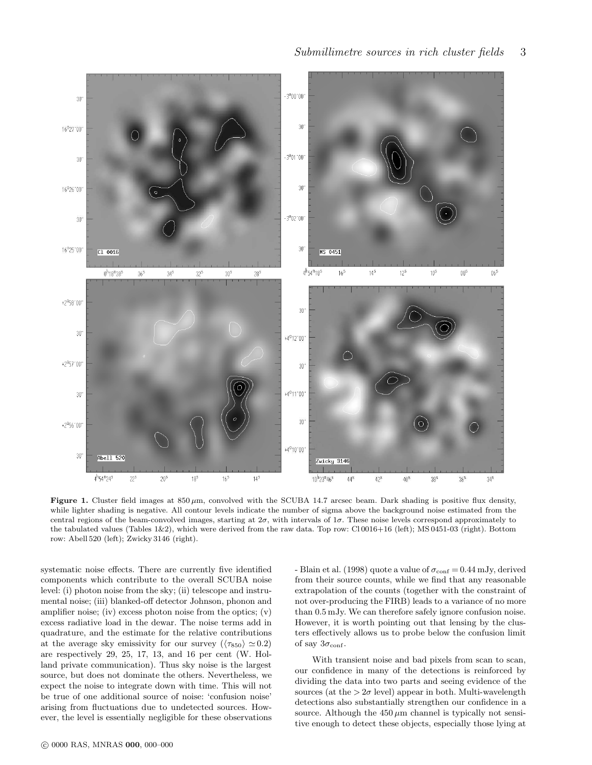

Figure 1. Cluster field images at  $850 \mu m$ , convolved with the SCUBA 14.7 arcsec beam. Dark shading is positive flux density, while lighter shading is negative. All contour levels indicate the number of sigma above the background noise estimated from the central regions of the beam-convolved images, starting at  $2\sigma$ , with intervals of  $1\sigma$ . These noise levels correspond approximately to the tabulated values (Tables 1&2), which were derived from the raw data. Top row: Cl 0016+16 (left); MS 0451-03 (right). Bottom row: Abell 520 (left); Zwicky 3146 (right).

systematic noise effects. There are currently five identified components which contribute to the overall SCUBA noise level: (i) photon noise from the sky; (ii) telescope and instrumental noise; (iii) blanked-off detector Johnson, phonon and amplifier noise; (iv) excess photon noise from the optics; (v) excess radiative load in the dewar. The noise terms add in quadrature, and the estimate for the relative contributions at the average sky emissivity for our survey ( $\langle \tau_{850} \rangle \simeq 0.2$ ) are respectively 29, 25, 17, 13, and 16 per cent (W. Holland private communication). Thus sky noise is the largest source, but does not dominate the others. Nevertheless, we expect the noise to integrate down with time. This will not be true of one additional source of noise: 'confusion noise' arising from fluctuations due to undetected sources. However, the level is essentially negligible for these observations

- Blain et al. (1998) quote a value of  $\sigma_{\text{conf}} = 0.44 \text{ mJy}$ , derived from their source counts, while we find that any reasonable extrapolation of the counts (together with the constraint of not over-producing the FIRB) leads to a variance of no more than 0.5 mJy. We can therefore safely ignore confusion noise. However, it is worth pointing out that lensing by the clusters effectively allows us to probe below the confusion limit of say  $3\sigma_{\rm conf}.$ 

With transient noise and bad pixels from scan to scan, our confidence in many of the detections is reinforced by dividing the data into two parts and seeing evidence of the sources (at the  $> 2\sigma$  level) appear in both. Multi-wavelength detections also substantially strengthen our confidence in a source. Although the  $450 \mu m$  channel is typically not sensitive enough to detect these objects, especially those lying at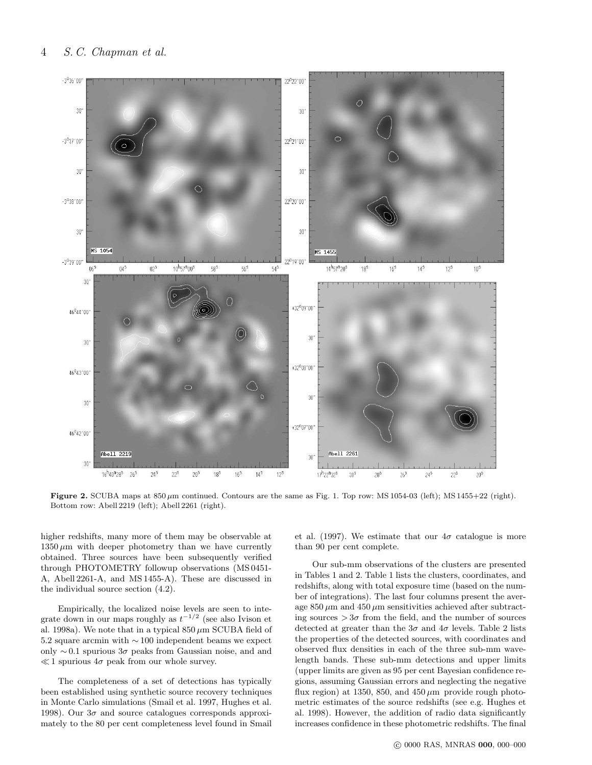

Figure 2. SCUBA maps at  $850 \mu m$  continued. Contours are the same as Fig. 1. Top row: MS 1054-03 (left); MS 1455+22 (right). Bottom row: Abell 2219 (left); Abell 2261 (right).

higher redshifts, many more of them may be observable at  $1350 \,\mu m$  with deeper photometry than we have currently obtained. Three sources have been subsequently verified through PHOTOMETRY followup observations (MS 0451- A, Abell 2261-A, and MS 1455-A). These are discussed in the individual source section (4.2).

Empirically, the localized noise levels are seen to integrate down in our maps roughly as  $t^{-1/2}$  (see also Ivison et al. 1998a). We note that in a typical  $850 \mu m$  SCUBA field of 5.2 square arcmin with ∼ 100 independent beams we expect only  $\sim 0.1$  spurious  $3\sigma$  peaks from Gaussian noise, and and  $\ll 1$  spurious  $4\sigma$  peak from our whole survey.

The completeness of a set of detections has typically been established using synthetic source recovery techniques in Monte Carlo simulations (Smail et al. 1997, Hughes et al. 1998). Our  $3\sigma$  and source catalogues corresponds approximately to the 80 per cent completeness level found in Smail et al. (1997). We estimate that our  $4\sigma$  catalogue is more than 90 per cent complete.

Our sub-mm observations of the clusters are presented in Tables 1 and 2. Table 1 lists the clusters, coordinates, and redshifts, along with total exposure time (based on the number of integrations). The last four columns present the average  $850 \mu m$  and  $450 \mu m$  sensitivities achieved after subtracting sources  $>3\sigma$  from the field, and the number of sources detected at greater than the  $3\sigma$  and  $4\sigma$  levels. Table 2 lists the properties of the detected sources, with coordinates and observed flux densities in each of the three sub-mm wavelength bands. These sub-mm detections and upper limits (upper limits are given as 95 per cent Bayesian confidence regions, assuming Gaussian errors and neglecting the negative flux region) at 1350, 850, and  $450 \,\mu m$  provide rough photometric estimates of the source redshifts (see e.g. Hughes et al. 1998). However, the addition of radio data significantly increases confidence in these photometric redshifts. The final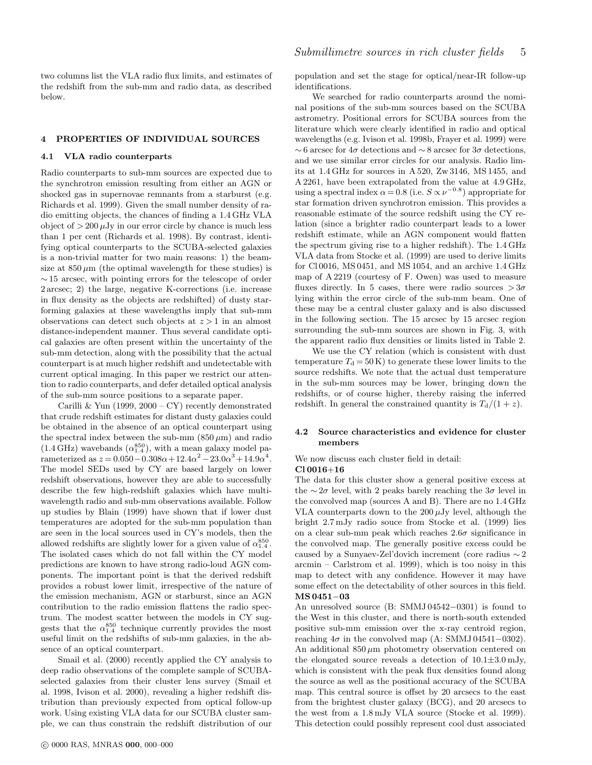two columns list the VLA radio flux limits, and estimates of the redshift from the sub-mm and radio data, as described below.

#### 4 PROPERTIES OF INDIVIDUAL SOURCES

#### 4.1 VLA radio counterparts

Radio counterparts to sub-mm sources are expected due to the synchrotron emission resulting from either an AGN or shocked gas in supernovae remnants from a starburst (e.g. Richards et al. 1999). Given the small number density of radio emitting objects, the chances of finding a 1.4 GHz VLA object of  $> 200 \mu Jy$  in our error circle by chance is much less than 1 per cent (Richards et al. 1998). By contrast, identifying optical counterparts to the SCUBA-selected galaxies is a non-trivial matter for two main reasons: 1) the beamsize at  $850 \mu m$  (the optimal wavelength for these studies) is ∼ 15 arcsec, with pointing errors for the telescope of order 2 arcsec; 2) the large, negative K-corrections (i.e. increase in flux density as the objects are redshifted) of dusty starforming galaxies at these wavelengths imply that sub-mm observations can detect such objects at  $z > 1$  in an almost distance-independent manner. Thus several candidate optical galaxies are often present within the uncertainty of the sub-mm detection, along with the possibility that the actual counterpart is at much higher redshift and undetectable with current optical imaging. In this paper we restrict our attention to radio counterparts, and defer detailed optical analysis of the sub-mm source positions to a separate paper.

Carilli & Yun (1999,  $2000 - CY$ ) recently demonstrated that crude redshift estimates for distant dusty galaxies could be obtained in the absence of an optical counterpart using the spectral index between the sub-mm  $(850 \,\mu m)$  and radio  $(1.4 \text{ GHz})$  wavebands  $(\alpha_{1.4}^{850})$ , with a mean galaxy model parameterized as  $z = 0.050 - 0.308\alpha + 12.4\alpha^2 - 23.0\alpha^3 + 14.9\alpha^4$ . The model SEDs used by CY are based largely on lower redshift observations, however they are able to successfully describe the few high-redshift galaxies which have multiwavelength radio and sub-mm observations available. Follow up studies by Blain (1999) have shown that if lower dust temperatures are adopted for the sub-mm population than are seen in the local sources used in CY's models, then the allowed redshifts are slightly lower for a given value of  $\alpha_{1.4}^{850}$ . The isolated cases which do not fall within the CY model predictions are known to have strong radio-loud AGN components. The important point is that the derived redshift provides a robust lower limit, irrespective of the nature of the emission mechanism, AGN or starburst, since an AGN contribution to the radio emission flattens the radio spectrum. The modest scatter between the models in CY suggests that the  $\alpha_{1.4}^{850}$  technique currently provides the most useful limit on the redshifts of sub-mm galaxies, in the absence of an optical counterpart.

Smail et al. (2000) recently applied the CY analysis to deep radio observations of the complete sample of SCUBAselected galaxies from their cluster lens survey (Smail et al. 1998, Ivison et al. 2000), revealing a higher redshift distribution than previously expected from optical follow-up work. Using existing VLA data for our SCUBA cluster sample, we can thus constrain the redshift distribution of our identifications.

and we use similar error circles for our analysis. Radio limits at 1.4 GHz for sources in A 520, Zw 3146, MS 1455, and A 2261, have been extrapolated from the value at 4.9 GHz, using a spectral index  $\alpha = 0.8$  (i.e.  $S \propto \nu^{-0.8}$ ) appropriate for star formation driven synchrotron emission. This provides a reasonable estimate of the source redshift using the CY relation (since a brighter radio counterpart leads to a lower redshift estimate, while an AGN component would flatten the spectrum giving rise to a higher redshift). The 1.4 GHz VLA data from Stocke et al. (1999) are used to derive limits for Cl 0016, MS 0451, and MS 1054, and an archive 1.4 GHz map of A 2219 (courtesy of F. Owen) was used to measure fluxes directly. In 5 cases, there were radio sources  $>3\sigma$ lying within the error circle of the sub-mm beam. One of these may be a central cluster galaxy and is also discussed in the following section. The 15 arcsec by 15 arcsec region surrounding the sub-mm sources are shown in Fig. 3, with the apparent radio flux densities or limits listed in Table 2.

We use the CY relation (which is consistent with dust temperature  $T<sub>d</sub> = 50 K$  to generate these lower limits to the source redshifts. We note that the actual dust temperature in the sub-mm sources may be lower, bringing down the redshifts, or of course higher, thereby raising the inferred redshift. In general the constrained quantity is  $T_d/(1+z)$ .

## 4.2 Source characteristics and evidence for cluster members

We now discuss each cluster field in detail:

# Cl 0016+16

The data for this cluster show a general positive excess at the ∼2 $\sigma$  level, with 2 peaks barely reaching the 3 $\sigma$  level in the convolved map (sources A and B). There are no 1.4 GHz VLA counterparts down to the  $200 \mu Jy$  level, although the bright 2.7 mJy radio souce from Stocke et al. (1999) lies on a clear sub-mm peak which reaches  $2.6\sigma$  significance in the convolved map. The generally positive excess could be caused by a Sunyaev-Zel'dovich increment (core radius ∼ 2 arcmin – Carlstrom et al. 1999), which is too noisy in this map to detect with any confidence. However it may have some effect on the detectability of other sources in this field. MS 0451−03

An unresolved source (B: SMMJ 04542−0301) is found to the West in this cluster, and there is north-south extended positive sub-mm emission over the x-ray centroid region, reaching  $4\sigma$  in the convolved map (A: SMMJ 04541–0302). An additional  $850 \mu m$  photometry observation centered on the elongated source reveals a detection of  $10.1 \pm 3.0$  mJy, which is consistent with the peak flux densities found along the source as well as the positional accuracy of the SCUBA map. This central source is offset by 20 arcsecs to the east from the brightest cluster galaxy (BCG), and 20 arcsecs to the west from a 1.8 mJy VLA source (Stocke et al. 1999). This detection could possibly represent cool dust associated

population and set the stage for optical/near-IR follow-up

We searched for radio counterparts around the nominal positions of the sub-mm sources based on the SCUBA astrometry. Positional errors for SCUBA sources from the literature which were clearly identified in radio and optical wavelengths (e.g. Ivison et al. 1998b, Frayer et al. 1999) were  $\sim$  6 arcsec for 4 $\sigma$  detections and  $\sim$  8 arcsec for 3 $\sigma$  detections,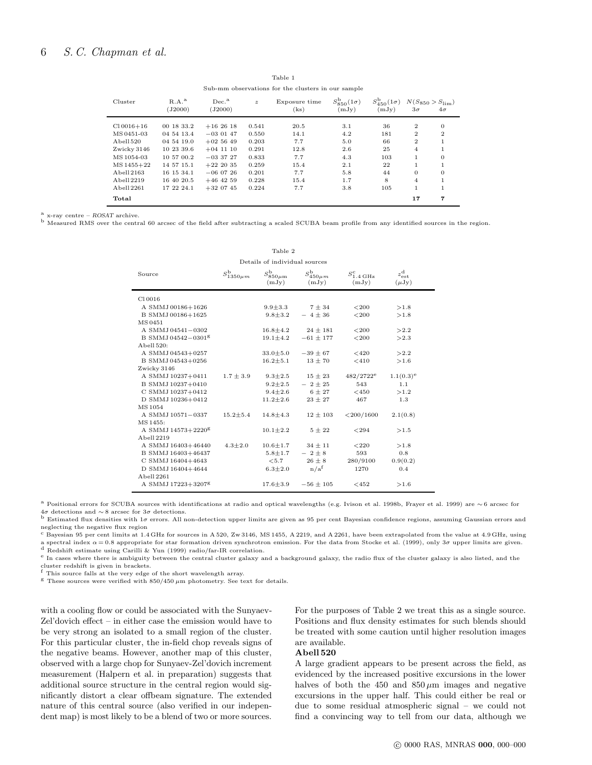| was-mm opservatons for the chargers in our stands |                     |                              |                  |                       |                                 |                                          |                |                                            |
|---------------------------------------------------|---------------------|------------------------------|------------------|-----------------------|---------------------------------|------------------------------------------|----------------|--------------------------------------------|
| Cluster                                           | $R.A.^a$<br>(J2000) | Dec. <sup>a</sup><br>(J2000) | $\boldsymbol{z}$ | Exposure time<br>(ks) | $S_{850}^{b}(1\sigma)$<br>(mJy) | $S_{450}^{\mathrm{b}}(1\sigma)$<br>(mJy) | $3\sigma$      | $N(S_{850} > S_{\text{lim}})$<br>$4\sigma$ |
| $Cl$ 0016+16                                      | 00 18 33.2          | $+162618$                    | 0.541            | 20.5                  | 3.1                             | 36                                       | $\overline{2}$ | $\Omega$                                   |
| MS 0451-03                                        | 04 54 13.4          | $-030147$                    | 0.550            | 14.1                  | 4.2                             | 181                                      | $\overline{2}$ | $\overline{2}$                             |
| Abell 520                                         | 04 54 19.0          | $+025649$                    | 0.203            | 7.7                   | 5.0                             | 66                                       | $\overline{2}$ |                                            |
| Zwicky 3146                                       | 10 23 39.6          | $+04$ 11 10                  | 0.291            | 12.8                  | 2.6                             | 25                                       | 4              |                                            |
| MS 1054-03                                        | 10 57 00.2          | $-033727$                    | 0.833            | 7.7                   | 4.3                             | 103                                      | 1              | $\Omega$                                   |
| MS 1455+22                                        | 14 57 15.1          | $+222035$                    | 0.259            | 15.4                  | 2.1                             | 22                                       | 1              |                                            |
| Abell 2163                                        | 16 15 34.1          | $-060726$                    | 0.201            | 7.7                   | 5.8                             | 44                                       | $\Omega$       | $\Omega$                                   |
| Abell 2219                                        | 16 40 20.5          | $+46$ 42 59                  | 0.228            | 15.4                  | 1.7                             | 8                                        | $\overline{4}$ |                                            |
| Abell 2261                                        | 17 22 24.1          | $+320745$                    | 0.224            | 7.7                   | 3.8                             | 105                                      | $\mathbf{1}$   |                                            |
| Total                                             |                     |                              |                  |                       |                                 |                                          | 17             | 7                                          |

Table 1 Sub-mm observations for the clusters in our sample

 $\alpha$  x-ray centre – ROSAT archive.

b Measured RMS over the central 60 arcsec of the field after subtracting a scaled SCUBA beam profile from any identified sources in the region.

| Source                         | $S_{1350\mu m}^{\mathrm{b}}$ | $S_{850\mu m}^{\mathrm{b}}$<br>(mJy) | $S_{450\mu m}^{\mathrm{b}}$<br>(mJy) | $S_{\rm 1.4\,GHz}^{\rm c}$<br>(mJy) | $z_{\rm est}^{\rm d}$<br>$(\mu Jy)$ |
|--------------------------------|------------------------------|--------------------------------------|--------------------------------------|-------------------------------------|-------------------------------------|
| C10016                         |                              |                                      |                                      |                                     |                                     |
| A SMMJ 00186+1626              |                              | $9.9 + 3.3$                          | $7 + 34$                             | < 200                               | >1.8                                |
| B SMMJ 00186+1625              |                              | $9.8 + 3.2$                          | $-4\pm 36$                           | < 200                               | >1.8                                |
| MS 0451                        |                              |                                      |                                      |                                     |                                     |
| A SMMJ 04541-0302              |                              | $16.8 + 4.2$                         | $24 \pm 181$                         | < 200                               | >2.2                                |
| B SMMJ 04542-0301 <sup>g</sup> |                              | $19.1 + 4.2$                         | $-61 + 177$                          | < 200                               | >2.3                                |
| Abell 520:                     |                              |                                      |                                      |                                     |                                     |
| A SMMJ 04543+0257              |                              | $33.0 + 5.0$                         | $-39 \pm 67$                         | < 420                               | >2.2                                |
| B SMMJ 04543+0256              |                              | $16.2 + 5.1$                         | $13 + 70$                            | < 410                               | >1.6                                |
| Zwicky 3146                    |                              |                                      |                                      |                                     |                                     |
| A SMMJ 10237+0411              | $1.7 \pm 3.9$                | $9.3 \pm 2.5$                        | $15 \pm 23$                          | $482/2722^e$                        | $1.1(0.3)^e$                        |
| B SMMJ 10237+0410              |                              | $9.2 + 2.5$                          | $-2 \pm 25$                          | 543                                 | 1.1                                 |
| C SMMJ 10237+0412              |                              | $9.4 + 2.6$                          | $6 + 27$                             | $<$ 450                             | >1.2                                |
| D SMMJ 10236+0412              |                              | $11.2 + 2.6$                         | $23 + 27$                            | 467                                 | 1.3                                 |
| MS 1054                        |                              |                                      |                                      |                                     |                                     |
| A SMMJ 10571-0337              | $15.2 + 5.4$                 | $14.8 + 4.3$                         | $12 \pm 103$                         | $<$ 200/1600                        | 2.1(0.8)                            |
| MS 1455:                       |                              |                                      |                                      |                                     |                                     |
| A SMMJ 14573+2220 <sup>g</sup> |                              | $10.1 \pm 2.2$                       | $5 + 22$                             | < 294                               | >1.5                                |
| Abell 2219                     |                              |                                      |                                      |                                     |                                     |
| A SMMJ 16403+46440             | $4.3 + 2.0$                  | $10.6 + 1.7$                         | $34 \pm 11$                          | < 220                               | >1.8                                |
| B SMMJ 16403+46437             |                              | $5.8 + 1.7$                          | $-2 \pm 8$                           | 593                                 | 0.8                                 |
| C SMMJ 16404+4643              |                              | < 5.7                                | $26 \pm 8$                           | 280/9100                            | 0.9(0.2)                            |
| D SMMJ 16404+4644              |                              | $6.3 + 2.0$                          | n/a <sup>f</sup>                     | 1270                                | 0.4                                 |
| Abell 2261                     |                              |                                      |                                      |                                     |                                     |
| A SMMJ 17223+3207 <sup>g</sup> |                              | $17.6 \pm 3.9$                       | $-56 \pm 105$                        | < 452                               | >1.6                                |

Table 2 Details of individual sources

<sup>a</sup> Positional errors for SCUBA sources with identifications at radio and optical wavelengths (e.g. Ivison et al. 1998b, Frayer et al. 1999) are ∼ 6 arcsec for 4σ detections and ∼ 8 arcsec for 3σ detections.

b Estimated flux densities with  $1\sigma$  errors. All non-detection upper limits are given as 95 per cent Bayesian confidence regions, assuming Gaussian errors and neglecting the negative flux region

 $c$  Bayesian 95 per cent limits at 1.4 GHz for sources in A 520, Zw 3146, MS 1455, A 2219, and A 2261, have been extrapolated from the value at 4.9 GHz, using a spectral index  $\alpha$  = 0.8 appropriate for star formation driven synchrotron emission. For the data from Stocke et al. (1999), only 3 $\sigma$  upper limits are given.<br><sup>d</sup> Redshift estimate using Carilli & Yun (1999) radio/far

<sup>e</sup> In cases where there is ambiguity between the central cluster galaxy and a background galaxy, the radio flux of the cluster galaxy is also listed, and the

cluster redshift is given in brackets. <sup>f</sup> This source falls at the very edge of the short wavelength array.

 $g$  These sources were verified with  $850/450 \ \mu m$  photometry. See text for details.

with a cooling flow or could be associated with the Sunyaev-Zel'dovich effect – in either case the emission would have to be very strong an isolated to a small region of the cluster. For this particular cluster, the in-field chop reveals signs of the negative beams. However, another map of this cluster, observed with a large chop for Sunyaev-Zel'dovich increment measurement (Halpern et al. in preparation) suggests that additional source structure in the central region would significantly distort a clear offbeam signature. The extended nature of this central source (also verified in our independent map) is most likely to be a blend of two or more sources. For the purposes of Table 2 we treat this as a single source. Positions and flux density estimates for such blends should be treated with some caution until higher resolution images are available.

# Abell 520

A large gradient appears to be present across the field, as evidenced by the increased positive excursions in the lower halves of both the 450 and 850  $\mu$ m images and negative excursions in the upper half. This could either be real or due to some residual atmospheric signal – we could not find a convincing way to tell from our data, although we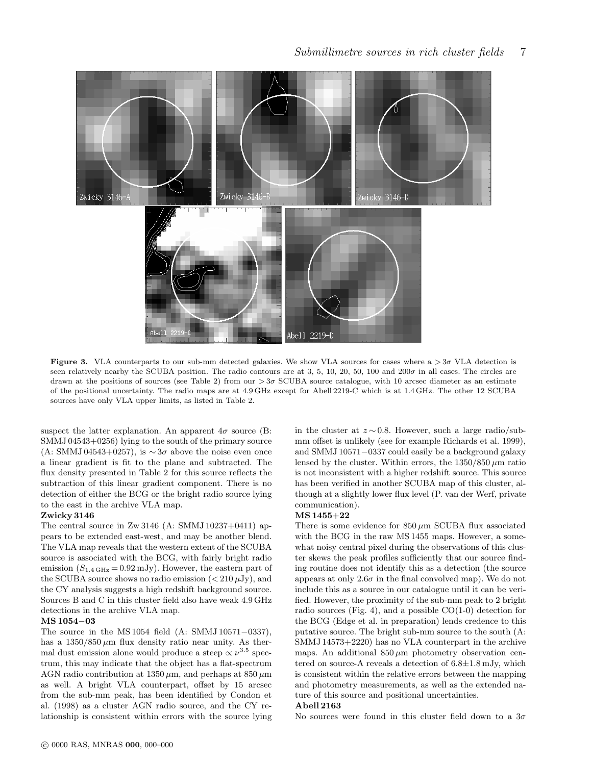

Figure 3. VLA counterparts to our sub-mm detected galaxies. We show VLA sources for cases where  $a > 3\sigma$  VLA detection is seen relatively nearby the SCUBA position. The radio contours are at 3, 5, 10, 20, 50, 100 and 200 $\sigma$  in all cases. The circles are drawn at the positions of sources (see Table 2) from our  $>3\sigma$  SCUBA source catalogue, with 10 arcsec diameter as an estimate of the positional uncertainty. The radio maps are at 4.9 GHz except for Abell 2219-C which is at 1.4 GHz. The other 12 SCUBA sources have only VLA upper limits, as listed in Table 2.

suspect the latter explanation. An apparent  $4\sigma$  source (B: SMMJ 04543+0256) lying to the south of the primary source (A: SMMJ 04543+0257), is  $\sim 3\sigma$  above the noise even once a linear gradient is fit to the plane and subtracted. The flux density presented in Table 2 for this source reflects the subtraction of this linear gradient component. There is no detection of either the BCG or the bright radio source lying to the east in the archive VLA map.

#### Zwicky 3146

The central source in Zw 3146 (A: SMMJ 10237+0411) appears to be extended east-west, and may be another blend. The VLA map reveals that the western extent of the SCUBA source is associated with the BCG, with fairly bright radio emission  $(S_{1.4 \text{ GHz}} = 0.92 \text{ mJy})$ . However, the eastern part of the SCUBA source shows no radio emission  $\left( < 210 \,\mu\text{Jy} \right)$ , and the CY analysis suggests a high redshift background source. Sources B and C in this cluster field also have weak 4.9 GHz detections in the archive VLA map.

#### MS 1054−03

The source in the MS 1054 field (A: SMMJ 10571−0337), has a  $1350/850 \mu m$  flux density ratio near unity. As thermal dust emission alone would produce a steep  $\propto \nu^{3.5}$  spectrum, this may indicate that the object has a flat-spectrum AGN radio contribution at  $1350 \,\mu \text{m}$ , and perhaps at  $850 \,\mu \text{m}$ as well. A bright VLA counterpart, offset by 15 arcsec from the sub-mm peak, has been identified by Condon et al. (1998) as a cluster AGN radio source, and the CY relationship is consistent within errors with the source lying in the cluster at  $z \sim 0.8$ . However, such a large radio/submm offset is unlikely (see for example Richards et al. 1999), and SMMJ 10571−0337 could easily be a background galaxy lensed by the cluster. Within errors, the  $1350/850 \,\mu m$  ratio is not inconsistent with a higher redshift source. This source has been verified in another SCUBA map of this cluster, although at a slightly lower flux level (P. van der Werf, private communication).

#### MS 1455+22

There is some evidence for  $850 \mu m$  SCUBA flux associated with the BCG in the raw MS 1455 maps. However, a somewhat noisy central pixel during the observations of this cluster skews the peak profiles sufficiently that our source finding routine does not identify this as a detection (the source appears at only  $2.6\sigma$  in the final convolved map). We do not include this as a source in our catalogue until it can be verified. However, the proximity of the sub-mm peak to 2 bright radio sources (Fig. 4), and a possible  $CO(1-0)$  detection for the BCG (Edge et al. in preparation) lends credence to this putative source. The bright sub-mm source to the south (A: SMMJ 14573+2220) has no VLA counterpart in the archive maps. An additional  $850 \mu m$  photometry observation centered on source-A reveals a detection of 6.8±1.8 mJy, which is consistent within the relative errors between the mapping and photometry measurements, as well as the extended nature of this source and positional uncertainties.

## Abell 2163

No sources were found in this cluster field down to a  $3\sigma$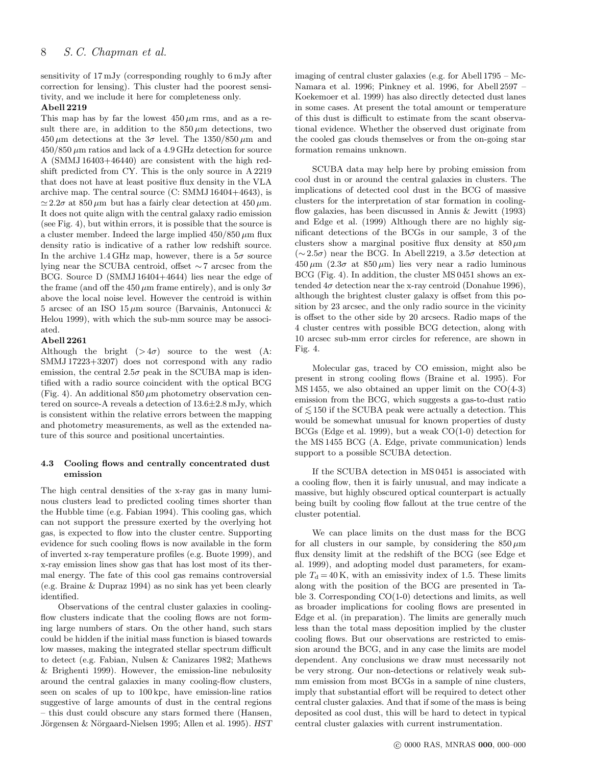sensitivity of 17 mJy (corresponding roughly to 6 mJy after correction for lensing). This cluster had the poorest sensitivity, and we include it here for completeness only.

# Abell 2219

This map has by far the lowest  $450 \,\mu m$  rms, and as a result there are, in addition to the  $850 \,\mu m$  detections, two  $450 \,\mu \text{m}$  detections at the  $3\sigma$  level. The  $1350/850 \,\mu \text{m}$  and  $450/850 \mu m$  ratios and lack of a 4.9 GHz detection for source A (SMMJ 16403+46440) are consistent with the high redshift predicted from CY. This is the only source in A 2219 that does not have at least positive flux density in the VLA archive map. The central source (C: SMMJ 16404+4643), is  $\simeq 2.2\sigma$  at 850  $\mu$ m but has a fairly clear detection at 450  $\mu$ m. It does not quite align with the central galaxy radio emission (see Fig. 4), but within errors, it is possible that the source is a cluster member. Indeed the large implied  $450/850 \,\mu m$  flux density ratio is indicative of a rather low redshift source. In the archive 1.4 GHz map, however, there is a  $5\sigma$  source lying near the SCUBA centroid, offset ∼ 7 arcsec from the BCG. Source D (SMMJ 16404+4644) lies near the edge of the frame (and off the  $450 \mu m$  frame entirely), and is only  $3\sigma$ above the local noise level. However the centroid is within 5 arcsec of an ISO  $15 \mu m$  source (Barvainis, Antonucci & Helou 1999), with which the sub-mm source may be associated.

## Abell 2261

Although the bright  $(>4\sigma)$  source to the west (A: SMMJ 17223+3207) does not correspond with any radio emission, the central  $2.5\sigma$  peak in the SCUBA map is identified with a radio source coincident with the optical BCG (Fig. 4). An additional  $850 \mu m$  photometry observation centered on source-A reveals a detection of 13.6±2.8 mJy, which is consistent within the relative errors between the mapping and photometry measurements, as well as the extended nature of this source and positional uncertainties.

## 4.3 Cooling flows and centrally concentrated dust emission

The high central densities of the x-ray gas in many luminous clusters lead to predicted cooling times shorter than the Hubble time (e.g. Fabian 1994). This cooling gas, which can not support the pressure exerted by the overlying hot gas, is expected to flow into the cluster centre. Supporting evidence for such cooling flows is now available in the form of inverted x-ray temperature profiles (e.g. Buote 1999), and x-ray emission lines show gas that has lost most of its thermal energy. The fate of this cool gas remains controversial (e.g. Braine & Dupraz 1994) as no sink has yet been clearly identified.

Observations of the central cluster galaxies in coolingflow clusters indicate that the cooling flows are not forming large numbers of stars. On the other hand, such stars could be hidden if the initial mass function is biased towards low masses, making the integrated stellar spectrum difficult to detect (e.g. Fabian, Nulsen & Canizares 1982; Mathews & Brighenti 1999). However, the emission-line nebulosity around the central galaxies in many cooling-flow clusters, seen on scales of up to 100 kpc, have emission-line ratios suggestive of large amounts of dust in the central regions – this dust could obscure any stars formed there (Hansen, Jörgensen & Nörgaard-Nielsen 1995; Allen et al. 1995). HST imaging of central cluster galaxies (e.g. for Abell 1795 – Mc-Namara et al. 1996; Pinkney et al. 1996, for Abell 2597 – Koekemoer et al. 1999) has also directly detected dust lanes in some cases. At present the total amount or temperature of this dust is difficult to estimate from the scant observational evidence. Whether the observed dust originate from the cooled gas clouds themselves or from the on-going star formation remains unknown.

SCUBA data may help here by probing emission from cool dust in or around the central galaxies in clusters. The implications of detected cool dust in the BCG of massive clusters for the interpretation of star formation in coolingflow galaxies, has been discussed in Annis & Jewitt (1993) and Edge et al. (1999) Although there are no highly significant detections of the BCGs in our sample, 3 of the clusters show a marginal positive flux density at  $850 \,\mu m$ (∼ 2.5σ) near the BCG. In Abell 2219, a 3.5σ detection at  $450 \,\mu \text{m}$   $(2.3\sigma \text{ at } 850 \,\mu \text{m})$  lies very near a radio luminous BCG (Fig. 4). In addition, the cluster MS 0451 shows an extended  $4\sigma$  detection near the x-ray centroid (Donahue 1996), although the brightest cluster galaxy is offset from this position by 23 arcsec, and the only radio source in the vicinity is offset to the other side by 20 arcsecs. Radio maps of the 4 cluster centres with possible BCG detection, along with 10 arcsec sub-mm error circles for reference, are shown in Fig. 4.

Molecular gas, traced by CO emission, might also be present in strong cooling flows (Braine et al. 1995). For  $MS 1455$ , we also obtained an upper limit on the  $CO(4-3)$ emission from the BCG, which suggests a gas-to-dust ratio of  $≤ 150$  if the SCUBA peak were actually a detection. This would be somewhat unusual for known properties of dusty BCGs (Edge et al. 1999), but a weak CO(1-0) detection for the MS 1455 BCG (A. Edge, private communication) lends support to a possible SCUBA detection.

If the SCUBA detection in MS 0451 is associated with a cooling flow, then it is fairly unusual, and may indicate a massive, but highly obscured optical counterpart is actually being built by cooling flow fallout at the true centre of the cluster potential.

We can place limits on the dust mass for the BCG for all clusters in our sample, by considering the  $850 \,\mu m$ flux density limit at the redshift of the BCG (see Edge et al. 1999), and adopting model dust parameters, for example  $T<sub>d</sub> = 40$  K, with an emissivity index of 1.5. These limits along with the position of the BCG are presented in Table 3. Corresponding CO(1-0) detections and limits, as well as broader implications for cooling flows are presented in Edge et al. (in preparation). The limits are generally much less than the total mass deposition implied by the cluster cooling flows. But our observations are restricted to emission around the BCG, and in any case the limits are model dependent. Any conclusions we draw must necessarily not be very strong. Our non-detections or relatively weak submm emission from most BCGs in a sample of nine clusters, imply that substantial effort will be required to detect other central cluster galaxies. And that if some of the mass is being deposited as cool dust, this will be hard to detect in typical central cluster galaxies with current instrumentation.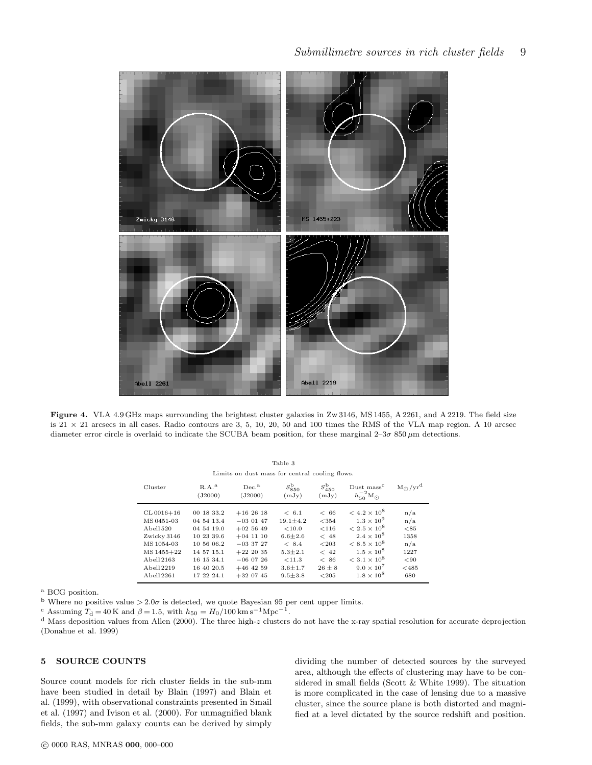

Figure 4. VLA 4.9 GHz maps surrounding the brightest cluster galaxies in Zw 3146, MS 1455, A 2261, and A 2219. The field size is 21  $\times$  21 arcsecs in all cases. Radio contours are 3, 5, 10, 20, 50 and 100 times the RMS of the VLA map region. A 10 arcsec diameter error circle is overlaid to indicate the SCUBA beam position, for these marginal 2–3σ 850 μm detections.

Limits on dust mass for central cooling flows.

| Cluster        | $R.A.^a$<br>(J2000) | Dec. <sup>a</sup><br>(J2000) | $S_{850}^{\rm b}$<br>(mJy) | $S_{450}^{\rm b}$<br>(mJy) | Dust mass <sup>c</sup><br>$h_{50}^{-2}M_{\odot}$ | $M_{\odot}/yr^d$ |
|----------------|---------------------|------------------------------|----------------------------|----------------------------|--------------------------------------------------|------------------|
| $CL 0016 + 16$ | 00 18 33.2          | $+162618$                    | < 6.1                      | < 66                       | $< 4.2 \times 10^{8}$                            | n/a              |
| MS 0451-03     | 04 54 13.4          | $-030147$                    | $19.1 + 4.2$               | < 354                      | $1.3 \times 10^{9}$                              | n/a              |
| Abell 520      | 04 54 19.0          | $+025649$                    | < 10.0                     | < 116                      | $< 2.5 \times 10^8$                              | < 85             |
| Zwicky 3146    | 10 23 39.6          | $+04$ 11 10                  | $6.6 + 2.6$                | < 48                       | $2.4 \times 10^{8}$                              | 1358             |
| MS 1054-03     | 10 56 06.2          | $-0.3, 3.7, 2.7$             | < 8.4                      | < 203                      | $< 8.5 \times 10^8$                              | n/a              |
| MS 1455+22     | 14 57 15.1          | $+22$ 20 35                  | $5.3 + 2.1$                | < 42                       | $1.5 \times 10^{8}$                              | 1227             |
| Abell 2163     | 16 15 34.1          | $-060726$                    | < 11.3                     | < 86                       | $< 3.1 \times 10^8$                              | < 90             |
| Abell 2219     | 16 40 20.5          | $+46$ 42 59                  | $3.6 + 1.7$                | $26 + 8$                   | $9.0 \times 10^{7}$                              | $<$ 485          |
| Abell 2261     | 17 22 24.1          | $+32$ 07 45                  | $9.5 + 3.8$                | < 205                      | $1.8 \times 10^8$                                | 680              |

<sup>a</sup> BCG position.

<sup>b</sup> Where no positive value  $> 2.0\sigma$  is detected, we quote Bayesian 95 per cent upper limits.

<sup>c</sup> Assuming  $T_d = 40$  K and  $\beta = 1.5$ , with  $h_{50} = H_0/100$  km s<sup>-1</sup>Mpc<sup>-1</sup>.

<sup>d</sup> Mass deposition values from Allen (2000). The three high-z clusters do not have the x-ray spatial resolution for accurate deprojection (Donahue et al. 1999)

# 5 SOURCE COUNTS

Source count models for rich cluster fields in the sub-mm have been studied in detail by Blain (1997) and Blain et al. (1999), with observational constraints presented in Smail et al. (1997) and Ivison et al. (2000). For unmagnified blank fields, the sub-mm galaxy counts can be derived by simply

dividing the number of detected sources by the surveyed area, although the effects of clustering may have to be considered in small fields (Scott & White 1999). The situation is more complicated in the case of lensing due to a massive cluster, since the source plane is both distorted and magnified at a level dictated by the source redshift and position.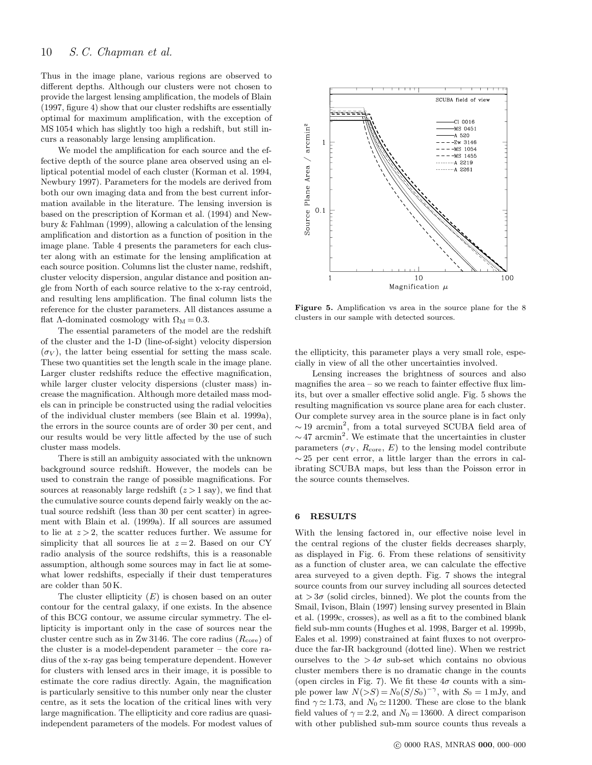Thus in the image plane, various regions are observed to different depths. Although our clusters were not chosen to provide the largest lensing amplification, the models of Blain (1997, figure 4) show that our cluster redshifts are essentially optimal for maximum amplification, with the exception of MS 1054 which has slightly too high a redshift, but still incurs a reasonably large lensing amplification.

We model the amplification for each source and the effective depth of the source plane area observed using an elliptical potential model of each cluster (Korman et al. 1994, Newbury 1997). Parameters for the models are derived from both our own imaging data and from the best current information available in the literature. The lensing inversion is based on the prescription of Korman et al. (1994) and Newbury & Fahlman (1999), allowing a calculation of the lensing amplification and distortion as a function of position in the image plane. Table 4 presents the parameters for each cluster along with an estimate for the lensing amplification at each source position. Columns list the cluster name, redshift, cluster velocity dispersion, angular distance and position angle from North of each source relative to the x-ray centroid, and resulting lens amplification. The final column lists the reference for the cluster parameters. All distances assume a flat  $\Lambda$ -dominated cosmology with  $\Omega_M = 0.3$ .

The essential parameters of the model are the redshift of the cluster and the 1-D (line-of-sight) velocity dispersion  $(\sigma_V)$ , the latter being essential for setting the mass scale. These two quantities set the length scale in the image plane. Larger cluster redshifts reduce the effective magnification, while larger cluster velocity dispersions (cluster mass) increase the magnification. Although more detailed mass models can in principle be constructed using the radial velocities of the individual cluster members (see Blain et al. 1999a), the errors in the source counts are of order 30 per cent, and our results would be very little affected by the use of such cluster mass models.

There is still an ambiguity associated with the unknown background source redshift. However, the models can be used to constrain the range of possible magnifications. For sources at reasonably large redshift  $(z > 1$  say), we find that the cumulative source counts depend fairly weakly on the actual source redshift (less than 30 per cent scatter) in agreement with Blain et al. (1999a). If all sources are assumed to lie at  $z > 2$ , the scatter reduces further. We assume for simplicity that all sources lie at  $z=2$ . Based on our CY radio analysis of the source redshifts, this is a reasonable assumption, although some sources may in fact lie at somewhat lower redshifts, especially if their dust temperatures are colder than 50 K.

The cluster ellipticity  $(E)$  is chosen based on an outer contour for the central galaxy, if one exists. In the absence of this BCG contour, we assume circular symmetry. The ellipticity is important only in the case of sources near the cluster centre such as in  $Z_{\rm W}$  3146. The core radius  $(R_{\rm core})$  of the cluster is a model-dependent parameter – the core radius of the x-ray gas being temperature dependent. However for clusters with lensed arcs in their image, it is possible to estimate the core radius directly. Again, the magnification is particularly sensitive to this number only near the cluster centre, as it sets the location of the critical lines with very large magnification. The ellipticity and core radius are quasiindependent parameters of the models. For modest values of



Figure 5. Amplification vs area in the source plane for the 8 clusters in our sample with detected sources.

the ellipticity, this parameter plays a very small role, especially in view of all the other uncertainties involved.

Lensing increases the brightness of sources and also magnifies the area – so we reach to fainter effective flux limits, but over a smaller effective solid angle. Fig. 5 shows the resulting magnification vs source plane area for each cluster. Our complete survey area in the source plane is in fact only  $\sim$  19 arcmin<sup>2</sup>, from a total surveyed SCUBA field area of  $\sim$ 47 arcmin<sup>2</sup>. We estimate that the uncertainties in cluster parameters  $(\sigma_V, R_{\text{core}}, E)$  to the lensing model contribute  $\sim$  25 per cent error, a little larger than the errors in calibrating SCUBA maps, but less than the Poisson error in the source counts themselves.

#### 6 RESULTS

With the lensing factored in, our effective noise level in the central regions of the cluster fields decreases sharply, as displayed in Fig. 6. From these relations of sensitivity as a function of cluster area, we can calculate the effective area surveyed to a given depth. Fig. 7 shows the integral source counts from our survey including all sources detected at  $>3\sigma$  (solid circles, binned). We plot the counts from the Smail, Ivison, Blain (1997) lensing survey presented in Blain et al. (1999c, crosses), as well as a fit to the combined blank field sub-mm counts (Hughes et al. 1998, Barger et al. 1999b, Eales et al. 1999) constrained at faint fluxes to not overproduce the far-IR background (dotted line). When we restrict ourselves to the  $> 4\sigma$  sub-set which contains no obvious cluster members there is no dramatic change in the counts (open circles in Fig. 7). We fit these  $4\sigma$  counts with a simple power law  $N(>S) = N_0(S/S_0)^{-\gamma}$ , with  $S_0 = 1$  mJy, and find  $\gamma \approx 1.73$ , and  $N_0 \approx 11200$ . These are close to the blank field values of  $\gamma = 2.2$ , and  $N_0 = 13600$ . A direct comparison with other published sub-mm source counts thus reveals a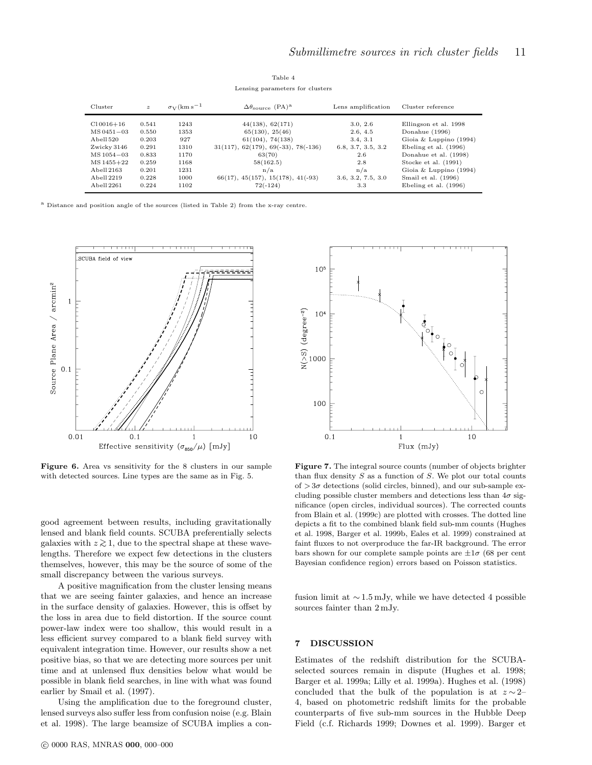| Cluster                        | $\mathbf{z}$   | $\sigma_V$ (km s <sup>-1</sup> ) | $\Delta\theta_{\rm source}$ (PA) <sup>a</sup> | Lens amplification   | Cluster reference                       |
|--------------------------------|----------------|----------------------------------|-----------------------------------------------|----------------------|-----------------------------------------|
| $Cl$ 0016+16<br>$MS 0451 - 03$ | 0.541<br>0.550 | 1243<br>1353                     | 44(138), 62(171)<br>65(130), 25(46)           | 3.0, 2.6<br>2.6, 4.5 | Ellingson et al. 1998<br>Donahue (1996) |
| Abell 520                      | 0.203          | 927                              | $61(104)$ , $74(138)$                         | 3.4, 3.1             | Gioia & Luppino $(1994)$                |
| Zwicky 3146                    | 0.291          | 1310                             | $31(117), 62(179), 69(-33), 78(-136)$         | 6.8, 3.7, 3.5, 3.2   | Ebeling et al. (1996)                   |
| $MS1054 - 03$                  | 0.833          | 1170                             | 63(70)                                        | 2.6                  | Donahue et al. (1998)                   |
| MS 1455+22                     | 0.259          | 1168                             | 58(162.5)                                     | 2.8                  | Stocke et al. (1991)                    |
| Abell 2163                     | 0.201          | 1231                             | n/a                                           | n/a                  | Gioia & Luppino $(1994)$                |
| Abell 2219                     | 0.228          | 1000                             | $66(17), 45(157), 15(178), 41(-93)$           | 3.6, 3.2, 7.5, 3.0   | Smail et al. (1996)                     |
| Abell 2261                     | 0.224          | 1102                             | $72(-124)$                                    | 3.3                  | Ebeling et al. (1996)                   |

Table 4 Lensing parameters for clusters

<sup>a</sup> Distance and position angle of the sources (listed in Table 2) from the x-ray centre.



Figure 6. Area vs sensitivity for the 8 clusters in our sample with detected sources. Line types are the same as in Fig. 5.

good agreement between results, including gravitationally lensed and blank field counts. SCUBA preferentially selects galaxies with  $z \gtrsim 1$ , due to the spectral shape at these wavelengths. Therefore we expect few detections in the clusters themselves, however, this may be the source of some of the small discrepancy between the various surveys.

A positive magnification from the cluster lensing means that we are seeing fainter galaxies, and hence an increase in the surface density of galaxies. However, this is offset by the loss in area due to field distortion. If the source count power-law index were too shallow, this would result in a less efficient survey compared to a blank field survey with equivalent integration time. However, our results show a net positive bias, so that we are detecting more sources per unit time and at unlensed flux densities below what would be possible in blank field searches, in line with what was found earlier by Smail et al. (1997).

Using the amplification due to the foreground cluster, lensed surveys also suffer less from confusion noise (e.g. Blain et al. 1998). The large beamsize of SCUBA implies a con-



Figure 7. The integral source counts (number of objects brighter than flux density  $S$  as a function of  $S$ . We plot our total counts of  $>3\sigma$  detections (solid circles, binned), and our sub-sample excluding possible cluster members and detections less than  $4\sigma$  significance (open circles, individual sources). The corrected counts from Blain et al. (1999c) are plotted with crosses. The dotted line depicts a fit to the combined blank field sub-mm counts (Hughes et al. 1998, Barger et al. 1999b, Eales et al. 1999) constrained at faint fluxes to not overproduce the far-IR background. The error bars shown for our complete sample points are  $\pm 1\sigma$  (68 per cent Bayesian confidence region) errors based on Poisson statistics.

fusion limit at  $\sim 1.5 \,\mathrm{mJy}$ , while we have detected 4 possible sources fainter than 2 mJy.

## 7 DISCUSSION

Estimates of the redshift distribution for the SCUBAselected sources remain in dispute (Hughes et al. 1998; Barger et al. 1999a; Lilly et al. 1999a). Hughes et al. (1998) concluded that the bulk of the population is at  $z \sim 2-$ 4, based on photometric redshift limits for the probable counterparts of five sub-mm sources in the Hubble Deep Field (c.f. Richards 1999; Downes et al. 1999). Barger et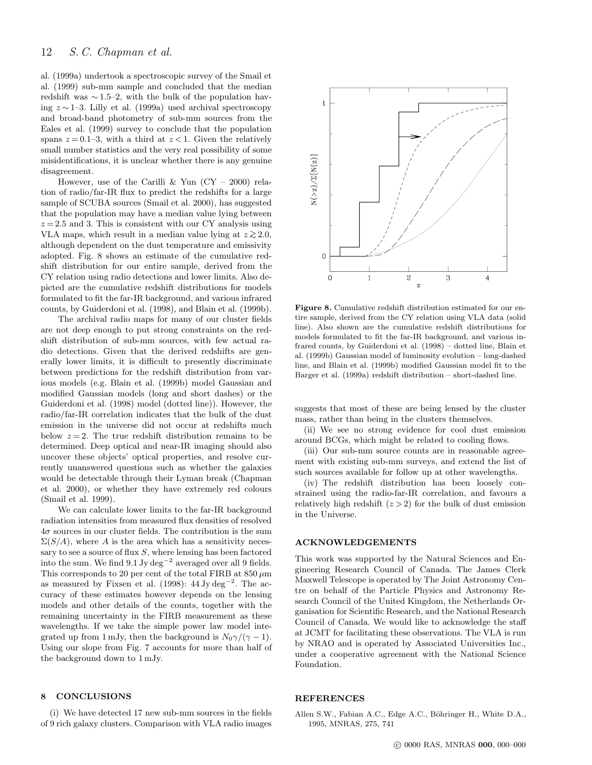al. (1999a) undertook a spectroscopic survey of the Smail et al. (1999) sub-mm sample and concluded that the median redshift was  $\sim$  1.5–2, with the bulk of the population having z ∼ 1–3. Lilly et al. (1999a) used archival spectroscopy and broad-band photometry of sub-mm sources from the Eales et al. (1999) survey to conclude that the population spans  $z = 0.1-3$ , with a third at  $z < 1$ . Given the relatively small number statistics and the very real possibility of some misidentifications, it is unclear whether there is any genuine disagreement.

However, use of the Carilli & Yun  $(CY - 2000)$  relation of radio/far-IR flux to predict the redshifts for a large sample of SCUBA sources (Smail et al. 2000), has suggested that the population may have a median value lying between  $z = 2.5$  and 3. This is consistent with our CY analysis using VLA maps, which result in a median value lying at  $z \gtrsim 2.0$ , although dependent on the dust temperature and emissivity adopted. Fig. 8 shows an estimate of the cumulative redshift distribution for our entire sample, derived from the CY relation using radio detections and lower limits. Also depicted are the cumulative redshift distributions for models formulated to fit the far-IR background, and various infrared counts, by Guiderdoni et al. (1998), and Blain et al. (1999b).

The archival radio maps for many of our cluster fields are not deep enough to put strong constraints on the redshift distribution of sub-mm sources, with few actual radio detections. Given that the derived redshifts are generally lower limits, it is difficult to presently discriminate between predictions for the redshift distribution from various models (e.g. Blain et al. (1999b) model Gaussian and modified Gaussian models (long and short dashes) or the Guiderdoni et al. (1998) model (dotted line)). However, the radio/far-IR correlation indicates that the bulk of the dust emission in the universe did not occur at redshifts much below  $z = 2$ . The true redshift distribution remains to be determined. Deep optical and near-IR imaging should also uncover these objects' optical properties, and resolve currently unanswered questions such as whether the galaxies would be detectable through their Lyman break (Chapman et al. 2000), or whether they have extremely red colours (Smail et al. 1999).

We can calculate lower limits to the far-IR background radiation intensities from measured flux densities of resolved  $4\sigma$  sources in our cluster fields. The contribution is the sum  $\Sigma(S/A)$ , where A is the area which has a sensitivity necessary to see a source of flux  $S$ , where lensing has been factored into the sum. We find  $9.1 \text{ Jy} \text{ deg}^{-2}$  averaged over all 9 fields. This corresponds to 20 per cent of the total FIRB at  $850 \,\mu m$ as measured by Fixsen et al. (1998):  $44 \text{ Jy deg}^{-2}$ . The accuracy of these estimates however depends on the lensing models and other details of the counts, together with the remaining uncertainty in the FIRB measurement as these wavelengths. If we take the simple power law model integrated up from 1 mJy, then the background is  $N_0\gamma/(\gamma-1)$ . Using our slope from Fig. 7 accounts for more than half of the background down to 1 mJy.

# 8 CONCLUSIONS

(i) We have detected 17 new sub-mm sources in the fields of 9 rich galaxy clusters. Comparison with VLA radio images



Figure 8. Cumulative redshift distribution estimated for our entire sample, derived from the CY relation using VLA data (solid line). Also shown are the cumulative redshift distributions for models formulated to fit the far-IR background, and various infrared counts, by Guiderdoni et al. (1998) – dotted line, Blain et al. (1999b) Gaussian model of luminosity evolution – long-dashed line, and Blain et al. (1999b) modified Gaussian model fit to the Barger et al. (1999a) redshift distribution – short-dashed line.

suggests that most of these are being lensed by the cluster mass, rather than being in the clusters themselves.

(ii) We see no strong evidence for cool dust emission around BCGs, which might be related to cooling flows.

(iii) Our sub-mm source counts are in reasonable agreement with existing sub-mm surveys, and extend the list of such sources available for follow up at other wavelengths.

(iv) The redshift distribution has been loosely constrained using the radio-far-IR correlation, and favours a relatively high redshift  $(z > 2)$  for the bulk of dust emission in the Universe.

#### ACKNOWLEDGEMENTS

This work was supported by the Natural Sciences and Engineering Research Council of Canada. The James Clerk Maxwell Telescope is operated by The Joint Astronomy Centre on behalf of the Particle Physics and Astronomy Research Council of the United Kingdom, the Netherlands Organisation for Scientific Research, and the National Research Council of Canada. We would like to acknowledge the staff at JCMT for facilitating these observations. The VLA is run by NRAO and is operated by Associated Universities Inc., under a cooperative agreement with the National Science Foundation.

#### REFERENCES

Allen S.W., Fabian A.C., Edge A.C., Böhringer H., White D.A., 1995, MNRAS, 275, 741